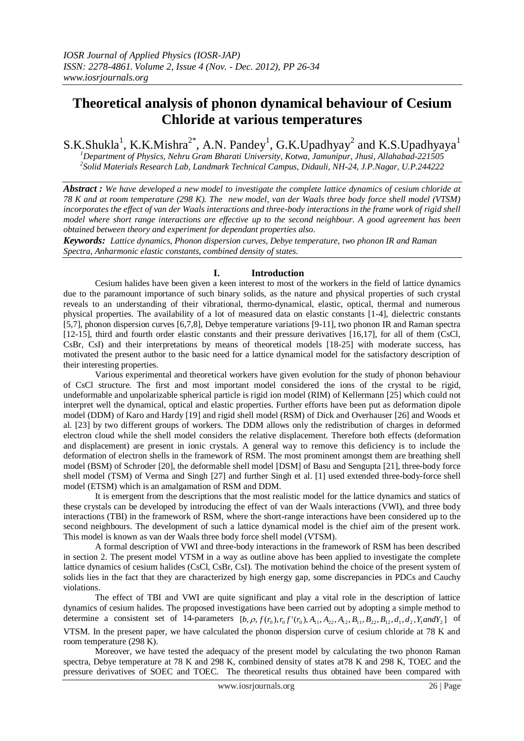# **Theoretical analysis of phonon dynamical behaviour of Cesium Chloride at various temperatures**

S.K.Shukla<sup>1</sup>, K.K.Mishra<sup>2\*</sup>, A.N. Pandey<sup>1</sup>, G.K.Upadhyay<sup>2</sup> and K.S.Upadhyaya<sup>1</sup>

*<sup>1</sup>Department of Physics, Nehru Gram Bharati University, Kotwa, Jamunipur, Jhusi, Allahabad-221505 2 Solid Materials Research Lab, Landmark Technical Campus, Didauli, NH-24, J.P.Nagar, U.P.244222*

*Abstract : We have developed a new model to investigate the complete lattice dynamics of cesium chloride at 78 K and at room temperature (298 K). The new model, van der Waals three body force shell model (VTSM) incorporates the effect of van der Waals interactions and three-body interactions in the frame work of rigid shell model where short range interactions are effective up to the second neighbour. A good agreement has been obtained between theory and experiment for dependant properties also.*

*Keywords: Lattice dynamics, Phonon dispersion curves, Debye temperature, two phonon IR and Raman Spectra, Anharmonic elastic constants, combined density of states.*

### **I. Introduction**

Cesium halides have been given a keen interest to most of the workers in the field of lattice dynamics due to the paramount importance of such binary solids, as the nature and physical properties of such crystal reveals to an understanding of their vibrational, thermo-dynamical, elastic, optical, thermal and numerous physical properties. The availability of a lot of measured data on elastic constants [1-4], dielectric constants [5,7], phonon dispersion curves [6,7,8], Debye temperature variations [9-11], two phonon IR and Raman spectra [12-15], third and fourth order elastic constants and their pressure derivatives [16,17], for all of them (CsCl, CsBr, CsI) and their interpretations by means of theoretical models [18-25] with moderate success, has motivated the present author to the basic need for a lattice dynamical model for the satisfactory description of their interesting properties.

Various experimental and theoretical workers have given evolution for the study of phonon behaviour of CsCl structure. The first and most important model considered the ions of the crystal to be rigid, undeformable and unpolarizable spherical particle is rigid ion model (RIM) of Kellermann [25] which could not interpret well the dynamical, optical and elastic properties. Further efforts have been put as deformation dipole model (DDM) of Karo and Hardy [19] and rigid shell model (RSM) of Dick and Overhauser [26] and Woods et al. [23] by two different groups of workers. The DDM allows only the redistribution of charges in deformed electron cloud while the shell model considers the relative displacement. Therefore both effects (deformation and displacement) are present in ionic crystals. A general way to remove this deficiency is to include the deformation of electron shells in the framework of RSM. The most prominent amongst them are breathing shell model (BSM) of Schroder [20], the deformable shell model [DSM] of Basu and Sengupta [21], three-body force shell model (TSM) of Verma and Singh [27] and further Singh et al. [1] used extended three-body-force shell model (ETSM) which is an amalgamation of RSM and DDM.

It is emergent from the descriptions that the most realistic model for the lattice dynamics and statics of these crystals can be developed by introducing the effect of van der Waals interactions (VWI), and three body interactions (TBI) in the framework of RSM, where the short-range interactions have been considered up to the second neighbours. The development of such a lattice dynamical model is the chief aim of the present work. This model is known as van der Waals three body force shell model (VTSM).

A formal description of VWI and three-body interactions in the framework of RSM has been described in section 2. The present model VTSM in a way as outline above has been applied to investigate the complete lattice dynamics of cesium halides (CsCl, CsBr, CsI). The motivation behind the choice of the present system of solids lies in the fact that they are characterized by high energy gap, some discrepancies in PDCs and Cauchy violations.

The effect of TBI and VWI are quite significant and play a vital role in the description of lattice dynamics of cesium halides. The proposed investigations have been carried out by adopting a simple method to dynamics or cesium nations. The proposed investigations have been carried out by adopting a simple method to determine a consistent set of 14-parameters  $[b, \rho, f(r_0), r_0 f'(r_0), A_{11}, A_{22}, A_{12}, B_{11}, B_{22}, B_{12}, d_1, d_2, Y_1$  and VTSM. In the present paper, we have calculated the phonon dispersion curve of cesium chloride at 78 K and room temperature (298 K).

Moreover, we have tested the adequacy of the present model by calculating the two phonon Raman spectra, Debye temperature at 78 K and 298 K, combined density of states at78 K and 298 K, TOEC and the pressure derivatives of SOEC and TOEC. The theoretical results thus obtained have been compared with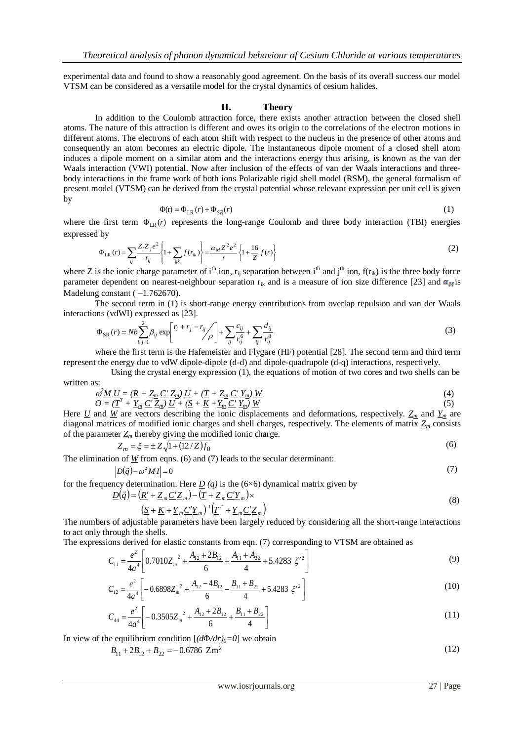experimental data and found to show a reasonably good agreement. On the basis of its overall success our model VTSM can be considered as a versatile model for the crystal dynamics of cesium halides.

#### **II. Theory**

In addition to the Coulomb attraction force, there exists another attraction between the closed shell atoms. The nature of this attraction is different and owes its origin to the correlations of the electron motions in different atoms. The electrons of each atom shift with respect to the nucleus in the presence of other atoms and consequently an atom becomes an electric dipole. The instantaneous dipole moment of a closed shell atom induces a dipole moment on a similar atom and the interactions energy thus arising, is known as the van der Waals interaction (VWI) potential. Now after inclusion of the effects of van der Waals interactions and threebody interactions in the frame work of both ions Polarizable rigid shell model (RSM), the general formalism of present model (VTSM) can be derived from the crystal potential whose relevant expression per unit cell is given by

$$
\Phi(\mathbf{r}) = \Phi_{LR}(r) + \Phi_{SR}(r) \tag{1}
$$

where the first term  $\Phi_{LR}(r)$  represents the long-range Coulomb and three body interaction (TBI) energies expressed by

$$
\Phi_{LR}(r) = \sum_{ij} \frac{Z_i Z_j e^2}{r_{ij}} \left\{ 1 + \sum_{ijk} f(r_{ik}) \right\} = \frac{\alpha_M Z^2 e^2}{r} \left\{ 1 + \frac{16}{Z} f(r) \right\}
$$
(2)

where Z is the ionic charge parameter of i<sup>th</sup> ion,  $r_{ii}$  separation between i<sup>th</sup> and j<sup>th</sup> ion,  $f(r_{ik})$  is the three body force parameter dependent on nearest-neighbour separation  $r_{ik}$  and is a measure of ion size difference [23] and  $\alpha_M$  is Madelung constant  $(-1.762670)$ .

The second term in (1) is short-range energy contributions from overlap repulsion and van der Waals interactions (vdWI) expressed as [23].

$$
\Phi_{SR}(r) = Nb \sum_{i,j=1}^{2} \beta_{ij} \exp\left[\frac{r_i + r_j - r_{ij}}{\rho}\right] + \sum_{ij} \frac{c_{ij}}{r_{ij}^6} + \sum_{ij} \frac{d_{ij}}{r_{ij}^8}
$$
(3)

where the first term is the Hafemeister and Flygare (HF) potential [28]. The second term and third term represent the energy due to vdW dipole-dipole (d-d) and dipole-quadrupole (d-q) interactions, respectively.

Using the crystal energy expression (1), the equations of motion of two cores and two shells can be written as:

$$
\frac{\partial^2 \underline{M}}{\partial = (\underline{T}^T + \underline{Y}_m \underline{C'} \underline{Z}_m) \underline{U} + (\underline{T} + \underline{Z}_m \underline{C'} \underline{Y}_m) \underline{W}}\n(4)\n\tag{4}
$$
\n
$$
O = (\underline{T}^T + \underline{Y}_m \underline{C'} \underline{Z}_m) \underline{U} + (\underline{S} + \underline{K} + \underline{Y}_m \underline{C'} \underline{Y}_m) \underline{W}\n(5)
$$

Here *U* and *W* are vectors describing the ionic displacements and deformations, respectively.  $Z_m$  and  $Y_m$  are diagonal matrices of modified ionic charges and shell charges, respectively. The elements of matrix  $Z_m$  consists of the parameter  $Z_m$  thereby giving the modified ionic charge.

$$
Z_m = \xi = \pm Z \sqrt{1 + (12/Z)f_0}
$$
\n
$$
Z_m = \xi = \pm Z \sqrt{1 + (12/Z)f_0}
$$
\n(6)

The elimination of *W* from eqns. (6) and (7) leads to the secular determinant:

$$
\underline{D}(\vec{q}) - \omega^2 \underline{M} \underline{I} = 0 \tag{7}
$$

for the frequency determination. Here  $\underline{D}(q)$  is the (6×6) dynamical matrix given by

$$
\underline{D}(\vec{q}) = (\underline{R'} + \underline{Z}_m \underline{C'} \underline{Z}_m) - (\underline{T} + \underline{Z}_m \underline{C'} \underline{Y}_m) \times \n(\underline{S} + \underline{K} + \underline{Y}_m \underline{C'} \underline{Y}_m)^{-1} (\underline{T'}^T + \underline{Y}_m \underline{C'} \underline{Z}_m)
$$
\n(8)

The numbers of adjustable parameters have been largely reduced by considering all the short-range interactions to act only through the shells.

The expressions derived for elastic constants from eqn. (7) corresponding to VTSM are obtained as  
\n
$$
C_{11} = \frac{e^2}{4a^4} \left[ 0.7010Z_m^2 + \frac{A_{12} + 2B_{12}}{6} + \frac{A_{11} + A_{22}}{4} + 5.4283 \xi'^2 \right]
$$
\n(9)

$$
C_{12} = \frac{e^2}{4a^4} \left[ -0.6898Z_m^2 + \frac{A_{12} - 4B_{12}}{6} - \frac{B_{11} + B_{22}}{4} + 5.4283 \xi'^2 \right]
$$
(10)

$$
C_{44} = \frac{e^2}{4a^4} \left[ -0.3505Z_m^2 + \frac{A_{12} + 2B_{12}}{6} + \frac{B_{11} + B_{22}}{4} \right]
$$
(11)

In view of the equilibrium condition  $[(d\Phi/dr)_0=0]$  we obtain

$$
B_{11} + 2B_{12} + B_{22} = -0.6786 \, \text{Zm}^2 \tag{12}
$$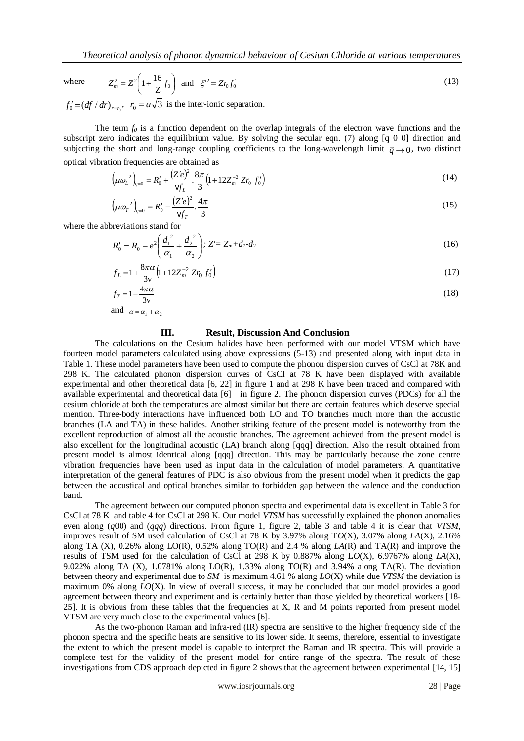where

$$
Z_m^2 = Z^2 \left( 1 + \frac{16}{Z} f_0 \right) \text{ and } \zeta^{22} = Z r_0 f_0 \tag{13}
$$

 $f'_0 = (df / dr)_{r=r_0}$ ,  $r_0 = a\sqrt{3}$  is the inter-ionic separation.

The term *f<sup>0</sup>* is a function dependent on the overlap integrals of the electron wave functions and the subscript zero indicates the equilibrium value. By solving the secular eqn. (7) along [q 0 0] direction and subjecting the short and long-range coupling coefficients to the long-wavelength limit  $\vec{q} \rightarrow 0$ , two distinct optical vibration frequencies are obtained as

$$
\left(\mu\omega_L^2\right)_{q=0} = R'_0 + \frac{(Z'e)^2}{Vf_L} \cdot \frac{8\pi}{3} \left(1 + 12Z_m^{-2} Zr_0 f'_0\right)
$$
\n(14)

$$
\left(\mu\omega_r^2\right)_{q=0} = R'_0 - \frac{\left(Z'e\right)^2}{\mathsf{v}f_r} \cdot \frac{4\pi}{3} \tag{15}
$$

where the abbreviations stand for

$$
R'_0 = R_0 - e^2 \left( \frac{d_1^2}{\alpha_1} + \frac{d_2^2}{\alpha_2} \right); \ Z' = Z_m + d_1 - d_2 \tag{16}
$$

$$
f_L = 1 + \frac{8\pi\alpha}{3v} \left( 1 + 12Z_m^{-2} Zr_0 f_0' \right)
$$
 (17)

$$
f_T = 1 - \frac{4\pi\alpha}{3v} \tag{18}
$$

and  $\alpha = \alpha_1 + \alpha_2$ 

#### **III. Result, Discussion And Conclusion**

The calculations on the Cesium halides have been performed with our model VTSM which have fourteen model parameters calculated using above expressions (5-13) and presented along with input data in Table 1. These model parameters have been used to compute the phonon dispersion curves of CsCl at 78K and 298 K. The calculated phonon dispersion curves of CsCl at 78 K have been displayed with available experimental and other theoretical data [6, 22] in figure 1 and at 298 K have been traced and compared with available experimental and theoretical data [6] in figure 2. The phonon dispersion curves (PDCs) for all the cesium chloride at both the temperatures are almost similar but there are certain features which deserve special mention. Three-body interactions have influenced both LO and TO branches much more than the acoustic branches (LA and TA) in these halides. Another striking feature of the present model is noteworthy from the excellent reproduction of almost all the acoustic branches. The agreement achieved from the present model is also excellent for the longitudinal acoustic (LA) branch along [qqq] direction. Also the result obtained from present model is almost identical along [qqq] direction. This may be particularly because the zone centre vibration frequencies have been used as input data in the calculation of model parameters. A quantitative interpretation of the general features of PDC is also obvious from the present model when it predicts the gap between the acoustical and optical branches similar to forbidden gap between the valence and the conduction band.

The agreement between our computed phonon spectra and experimental data is excellent in Table 3 for CsCl at 78 K and table 4 for CsCl at 298 K. Our model *VTSM* has successfully explained the phonon anomalies even along (*q*00) and (*qqq*) directions. From figure 1, figure 2, table 3 and table 4 it is clear that *VTSM*, improves result of SM used calculation of CsCl at 78 K by 3.97% along T*O*(X), 3.07% along *LA*(X), 2.16% along TA (X), 0.26% along LO(R), 0.52% along TO(R) and 2.4 % along *LA*(R) and TA(R) and improve the results of TSM used for the calculation of CsCl at 298 K by 0.887% along L*O*(X), 6.9767% along *LA*(X), 9.022% along TA (X), 1.0781% along LO(R), 1.33% along TO(R) and 3.94% along TA(R). The deviation between theory and experimental due to *SM* is maximum 4.61 % along *LO*(X) while due *VTSM* the deviation is maximum 0% along *LO*(X). In view of overall success, it may be concluded that our model provides a good agreement between theory and experiment and is certainly better than those yielded by theoretical workers [18- 25]. It is obvious from these tables that the frequencies at X, R and M points reported from present model VTSM are very much close to the experimental values [6].

As the two-phonon Raman and infra-red (IR) spectra are sensitive to the higher frequency side of the phonon spectra and the specific heats are sensitive to its lower side. It seems, therefore, essential to investigate the extent to which the present model is capable to interpret the Raman and IR spectra. This will provide a complete test for the validity of the present model for entire range of the spectra. The result of these investigations from CDS approach depicted in figure 2 shows that the agreement between experimental [14, 15]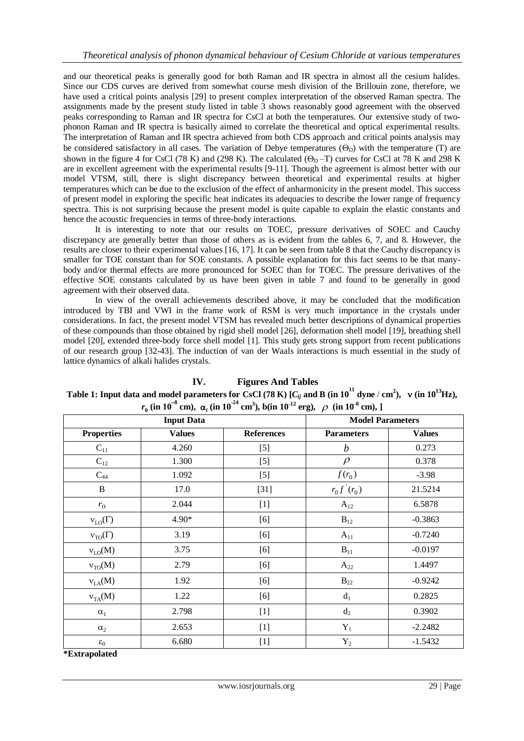and our theoretical peaks is generally good for both Raman and IR spectra in almost all the cesium halides. Since our CDS curves are derived from somewhat course mesh division of the Brillouin zone, therefore, we have used a critical points analysis [29] to present complex interpretation of the observed Raman spectra. The assignments made by the present study listed in table 3 shows reasonably good agreement with the observed peaks corresponding to Raman and IR spectra for CsCl at both the temperatures. Our extensive study of twophonon Raman and IR spectra is basically aimed to correlate the theoretical and optical experimental results. The interpretation of Raman and IR spectra achieved from both CDS approach and critical points analysis may be considered satisfactory in all cases. The variation of Debye temperatures  $(\Theta_{\rm D})$  with the temperature (T) are shown in the figure 4 for CsCl (78 K) and (298 K). The calculated  $(\Theta_{\rm D} - T)$  curves for CsCl at 78 K and 298 K are in excellent agreement with the experimental results [9-11]. Though the agreement is almost better with our model VTSM, still, there is slight discrepancy between theoretical and experimental results at higher temperatures which can be due to the exclusion of the effect of anharmonicity in the present model. This success of present model in exploring the specific heat indicates its adequacies to describe the lower range of frequency spectra. This is not surprising because the present model is quite capable to explain the elastic constants and hence the acoustic frequencies in terms of three-body interactions.

It is interesting to note that our results on TOEC, pressure derivatives of SOEC and Cauchy discrepancy are generally better than those of others as is evident from the tables 6, 7, and 8. However, the results are closer to their experimental values [16, 17]. It can be seen from table 8 that the Cauchy discrepancy is smaller for TOE constant than for SOE constants. A possible explanation for this fact seems to be that manybody and/or thermal effects are more pronounced for SOEC than for TOEC. The pressure derivatives of the effective SOE constants calculated by us have been given in table 7 and found to be generally in good agreement with their observed data.

In view of the overall achievements described above, it may be concluded that the modification introduced by TBI and VWI in the frame work of RSM is very much importance in the crystals under considerations. In fact, the present model VTSM has revealed much better descriptions of dynamical properties of these compounds than those obtained by rigid shell model [26], deformation shell model [19], breathing shell model [20], extended three-body force shell model [1]. This study gets strong support from recent publications of our research group [32-43]. The induction of van der Waals interactions is much essential in the study of lattice dynamics of alkali halides crystals.

| $r_0$ (in 10 <sup>-o</sup> cm), $\alpha_i$ (in 10 <sup>-o</sup> cm <sup>3</sup> ), b(in 10 <sup>-12</sup> erg), $\rho$ (in 10 <sup>-8</sup> cm), ] |                   |                         |                   |               |  |
|----------------------------------------------------------------------------------------------------------------------------------------------------|-------------------|-------------------------|-------------------|---------------|--|
|                                                                                                                                                    | <b>Input Data</b> | <b>Model Parameters</b> |                   |               |  |
| <b>Properties</b>                                                                                                                                  | <b>Values</b>     | <b>References</b>       | <b>Parameters</b> | <b>Values</b> |  |
| $C_{11}$                                                                                                                                           | 4.260             | $[5]$                   | $\boldsymbol{b}$  | 0.273         |  |
| $C_{12}$                                                                                                                                           | 1.300             | $[5]$                   | $\rho$            | 0.378         |  |
| $C_{44}$                                                                                                                                           | 1.092             | $[5]$                   | $f(r_0)$          | $-3.98$       |  |
| $\, {\bf B}$                                                                                                                                       | 17.0              | $[31]$                  | $r_0 f'(r_0)$     | 21.5214       |  |
| $r_0$                                                                                                                                              | 2.044             | $[1]$                   | $A_{12}$          | 6.5878        |  |
| $v_{LO}(\Gamma)$                                                                                                                                   | 4.90*             | [6]                     | $B_{12}$          | $-0.3863$     |  |
| $v_{\text{TO}}(\Gamma)$                                                                                                                            | 3.19              | [6]                     | $A_{11}$          | $-0.7240$     |  |
| $v_{LO}(M)$                                                                                                                                        | 3.75              | [6]                     | $B_{11}$          | $-0.0197$     |  |
| $v_{TO}(M)$                                                                                                                                        | 2.79              | [6]                     | $A_{22}$          | 1.4497        |  |
| $v_{LA}(M)$                                                                                                                                        | 1.92              | [6]                     | $B_{22}$          | $-0.9242$     |  |
| $v_{TA}(M)$                                                                                                                                        | 1.22              | [6]                     | $d_1$             | 0.2825        |  |
| $\alpha_1$                                                                                                                                         | 2.798             | $[1]$                   | $d_2$             | 0.3902        |  |
| $\alpha_2$                                                                                                                                         | 2.653             | $[1]$                   | $Y_1$             | $-2.2482$     |  |
| $\epsilon_0$                                                                                                                                       | 6.680             | $[1]$                   | $Y_2$             | $-1.5432$     |  |

 $(in 10^{-8})$ **(in 10-24 cm<sup>3</sup> ), b(in 10-12 erg), (in 10-8 cm), ]**

**IV. Figures And Tables Table 1: Input data and model parameters for CsCl (78 K) [** $C_{ij}$  **and B (in**  $10^{11}$  **dyne**  $/$  **cm<sup>2</sup>),**  $\upsilon$  **(in**  $10^{13}$ **Hz),** 

**\*Extrapolated**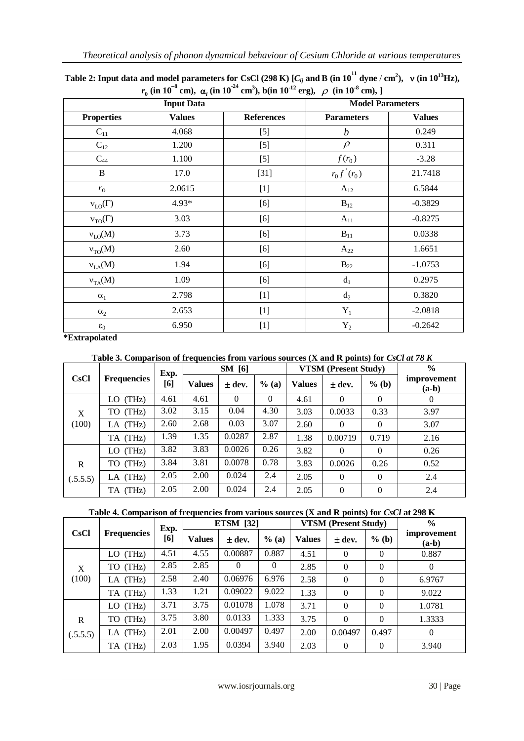|                                 | <b>Input Data</b> | <b>Model Parameters</b> |                   |               |
|---------------------------------|-------------------|-------------------------|-------------------|---------------|
| <b>Properties</b>               | <b>Values</b>     | <b>References</b>       | <b>Parameters</b> | <b>Values</b> |
| $C_{11}$                        | 4.068             | $[5]$                   | $\boldsymbol{b}$  | 0.249         |
| $C_{12}$                        | 1.200             | $[5]$                   | $\rho$            | 0.311         |
| $C_{44}$                        | 1.100             | $[5]$                   | $f(r_0)$          | $-3.28$       |
| $\, {\bf B}$                    | 17.0              | $[31]$                  | $r_0 f'(r_0)$     | 21.7418       |
| $r_0$                           | 2.0615            | $[1]$                   | $A_{12}$          | 6.5844        |
| $v_{LO}(\Gamma)$                | 4.93*             | [6]                     | $B_{12}$          | $-0.3829$     |
| $v_{TO}(\Gamma)$                | 3.03              | [6]                     | $A_{11}$          | $-0.8275$     |
| $v_{LO}(M)$                     | 3.73              | [6]                     | $B_{11}$          | 0.0338        |
| $v_{TO}(M)$                     | 2.60              | [6]                     | $A_{22}$          | 1.6651        |
| $v_{LA}(M)$                     | 1.94              | [6]                     | $B_{22}$          | $-1.0753$     |
| $v_{TA}(M)$                     | 1.09              | [6]                     | $d_1$             | 0.2975        |
| $\alpha_{\scriptscriptstyle 1}$ | 2.798             | $[1]$                   | $d_2$             | 0.3820        |
| $\alpha_2$                      | 2.653             | $[1]$                   | $Y_1$             | $-2.0818$     |
| $\epsilon_0$                    | 6.950             | $[1]$                   | $Y_2$             | $-0.2642$     |

**Table 2: Input data and model parameters for CsCl (298 K) [** $C_{ij}$  **and B (in**  $10^{11}$  **dyne**  $/$  **cm<sup>2</sup>),**  $\,$  **v (in**  $10^{13}$ **Hz),**  $r_{\rm{0}}$  (in 10<sup>-8</sup> cm),  $\alpha_i$  (in 10<sup>-24</sup> cm<sup>3</sup>), b(in 10<sup>-12</sup> erg),  $\rho$  (in 10<sup>-8</sup> cm), ]

**\*Extrapolated**

## **Table 3. Comparison of frequencies from various sources (X and R points) for** *CsCl at 78 K*

|             |                    | Exp. |               | <b>SM</b> [6] |          | <b>VTSM</b> (Present Study) |            |          | $\frac{0}{0}$          |
|-------------|--------------------|------|---------------|---------------|----------|-----------------------------|------------|----------|------------------------|
| <b>CsCl</b> | <b>Frequencies</b> | [6]  | <b>Values</b> | $\pm$ dev.    | % (a)    | <b>Values</b>               | $\pm$ dev. | $%$ (b)  | improvement<br>$(a-b)$ |
|             | $LO$ (THz)         | 4.61 | 4.61          | $\Omega$      | $\theta$ | 4.61                        | $\Omega$   | $\Omega$ | $\theta$               |
| X           | TO (THz)           | 3.02 | 3.15          | 0.04          | 4.30     | 3.03                        | 0.0033     | 0.33     | 3.97                   |
| (100)       | LA (THz)           | 2.60 | 2.68          | 0.03          | 3.07     | 2.60                        | $\Omega$   | $\Omega$ | 3.07                   |
|             | TA (THz)           | 1.39 | 1.35          | 0.0287        | 2.87     | 1.38                        | 0.00719    | 0.719    | 2.16                   |
|             | $LO$ (THz)         | 3.82 | 3.83          | 0.0026        | 0.26     | 3.82                        | $\Omega$   | $\Omega$ | 0.26                   |
| $\mathbf R$ | TO (THz)           | 3.84 | 3.81          | 0.0078        | 0.78     | 3.83                        | 0.0026     | 0.26     | 0.52                   |
| (.5.5.5)    | LA (THz)           | 2.05 | 2.00          | 0.024         | 2.4      | 2.05                        | $\Omega$   | $\Omega$ | 2.4                    |
|             | TA (THz)           | 2.05 | 2.00          | 0.024         | 2.4      | 2.05                        | $\Omega$   | $\Omega$ | 2.4                    |

## **Table 4. Comparison of frequencies from various sources (X and R points) for** *CsCl* **at 298 K**

|             |                    | <b>ETSM</b> [32]<br>Exp. |               |            | <b>VTSM (Present Study)</b> | $\frac{6}{6}$ |                |          |                        |
|-------------|--------------------|--------------------------|---------------|------------|-----------------------------|---------------|----------------|----------|------------------------|
| <b>CsCl</b> | <b>Frequencies</b> | [6]                      | <b>Values</b> | $\pm$ dev. | $%$ (a)                     | <b>Values</b> | $\pm$ dev.     | $%$ (b)  | improvement<br>$(a-b)$ |
|             | (THz)<br>LO.       | 4.51                     | 4.55          | 0.00887    | 0.887                       | 4.51          | $\Omega$       | $\Omega$ | 0.887                  |
| X           | TO (THz)           | 2.85                     | 2.85          | $\Omega$   | 0                           | 2.85          | $\overline{0}$ | $\Omega$ | $\theta$               |
| (100)       | (THz)<br>LA        | 2.58                     | 2.40          | 0.06976    | 6.976                       | 2.58          | $\Omega$       | 0        | 6.9767                 |
|             | TA (THz)           | 1.33                     | 1.21          | 0.09022    | 9.022                       | 1.33          | $\Omega$       | 0        | 9.022                  |
|             | (THz)<br>LO.       | 3.71                     | 3.75          | 0.01078    | 1.078                       | 3.71          | $\Omega$       | $\Omega$ | 1.0781                 |
| R           | (THz)<br>TO        | 3.75                     | 3.80          | 0.0133     | 1.333                       | 3.75          | $\Omega$       | $\Omega$ | 1.3333                 |
| (.5.5.5)    | $LA$ (THz)         | 2.01                     | 2.00          | 0.00497    | 0.497                       | 2.00          | 0.00497        | 0.497    | $\theta$               |
|             | (THz)<br>TA        | 2.03                     | 1.95          | 0.0394     | 3.940                       | 2.03          | $\Omega$       | $\Omega$ | 3.940                  |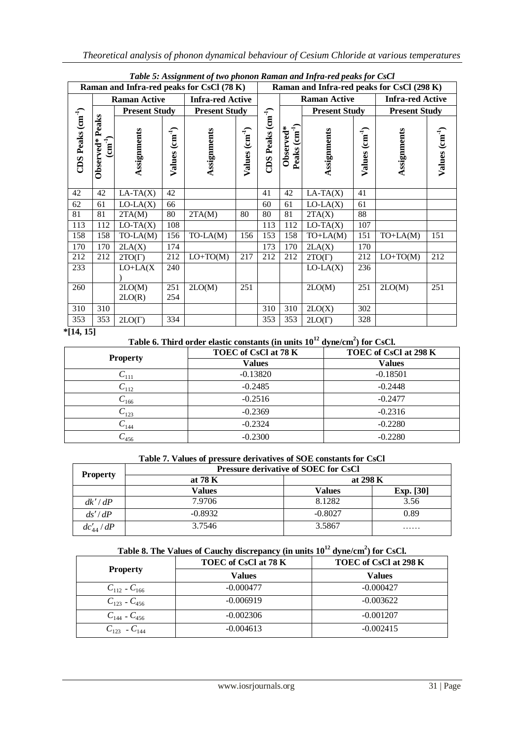| $\cdot$<br>Raman and Infra-red peaks for CsCl (78 K) |                                                     |                           |                            |                         | Raman and Infra-red peaks for CsCl (298 K) |                              |                                                 |                      |                                     |                         |                            |
|------------------------------------------------------|-----------------------------------------------------|---------------------------|----------------------------|-------------------------|--------------------------------------------|------------------------------|-------------------------------------------------|----------------------|-------------------------------------|-------------------------|----------------------------|
|                                                      |                                                     | <b>Raman Active</b>       |                            | <b>Infra-red Active</b> |                                            |                              | <b>Raman Active</b>                             |                      |                                     | <b>Infra-red Active</b> |                            |
|                                                      |                                                     | <b>Present Study</b>      |                            | <b>Present Study</b>    |                                            |                              |                                                 | <b>Present Study</b> |                                     | <b>Present Study</b>    |                            |
| CDS Peaks (cm <sup>-1</sup> )                        | Peaks<br>$\left(\text{cm}^{-1}\right)$<br>Observed* | Assignments               | Values (cm <sup>-1</sup> ) | Assignments             | Values (cm <sup>-1</sup> )                 | Peaks $\text{cm}^1$ )<br>CDS | $Peaks$ $\left(\text{cm}^4\right)$<br>Observed* | Assignments          | $\rm \left(m^{-1}\right)$<br>Values | Assignments             | $V$ alues $\text{cm}^{-1}$ |
| 42                                                   | 42                                                  | $\overline{LA}$ -TA $(X)$ | 42                         |                         |                                            | 41                           | 42                                              | $LA-TA(X)$           | 41                                  |                         |                            |
| 62                                                   | 61                                                  | $LO-LA(X)$                | 66                         |                         |                                            | 60                           | 61                                              | $LO-LA(X)$           | 61                                  |                         |                            |
| 81                                                   | 81                                                  | 2TA(M)                    | 80                         | 2TA(M)                  | 80                                         | 80                           | 81                                              | 2TA(X)               | 88                                  |                         |                            |
| 113                                                  | 112                                                 | $LO-TA(X)$                | 108                        |                         |                                            | 113                          | 112                                             | $LO-TA(X)$           | 107                                 |                         |                            |
| 158                                                  | 158                                                 | $TO-LA(M)$                | 156                        | TO-LA(M)                | 156                                        | 153                          | 158                                             | $TO+LA(M)$           | 151                                 | $TO+LA(M)$              | 151                        |
| 170                                                  | 170                                                 | 2LA(X)                    | 174                        |                         |                                            | 173                          | 170                                             | 2LA(X)               | 170                                 |                         |                            |
| 212                                                  | 212                                                 | $2TO(\Gamma)$             | 212                        | $LO+TO(M)$              | 217                                        | 212                          | 212                                             | $2TO(\Gamma)$        | 212                                 | $LO+TO(M)$              | 212                        |
| 233                                                  |                                                     | $LO+LA(X)$                | 240                        |                         |                                            |                              |                                                 | $LO-LA(X)$           | 236                                 |                         |                            |
| 260                                                  |                                                     | 2LO(M)<br>2LO(R)          | 251<br>254                 | 2LO(M)                  | 251                                        |                              |                                                 | 2LO(M)               | 251                                 | 2LO(M)                  | 251                        |
| 310                                                  | 310                                                 |                           |                            |                         |                                            | 310                          | 310                                             | 2LO(X)               | 302                                 |                         |                            |
| 353                                                  | 353                                                 | $2LO(\Gamma)$             | 334                        |                         |                                            | 353                          | 353                                             | $2LO(\Gamma)$        | 328                                 |                         |                            |

*Table 5: Assignment of two phonon Raman and Infra-red peaks for CsCl*

**\*[14, 15]**

**Table 6. Third order elastic constants (in units 10<sup>12</sup> dyne/cm<sup>2</sup> ) for CsCl.**

| <b>Property</b> | TOEC of CsCl at 78 K | TOEC of CsCl at 298 K |
|-----------------|----------------------|-----------------------|
|                 | <b>Values</b>        | <b>Values</b>         |
| $-111$          | $-0.13820$           | $-0.18501$            |
| $C_{112}$       | $-0.2485$            | $-0.2448$             |
| $^{6}$ 166      | $-0.2516$            | $-0.2477$             |
| $C_{123}$       | $-0.2369$            | $-0.2316$             |
| $C_{144}$       | $-0.2324$            | $-0.2280$             |
| $-456$          | $-0.2300$            | $-0.2280$             |

## **Table 7. Values of pressure derivatives of SOE constants for CsCl**

| <b>Property</b> | <b>Pressure derivative of SOEC for CsCl</b> |           |                  |  |  |  |
|-----------------|---------------------------------------------|-----------|------------------|--|--|--|
|                 | at 78 K                                     | at 298 K  |                  |  |  |  |
|                 | Values                                      | Values    | <b>Exp.</b> [30] |  |  |  |
| dk'/dP          | 7.9706                                      | 8.1282    | 3.56             |  |  |  |
| ds'/dP          | $-0.8932$                                   | $-0.8027$ | 0.89             |  |  |  |
| $dc'_{44}/dP$   | 3.7546                                      | 3.5867    | .                |  |  |  |

## **Table 8. The Values of Cauchy discrepancy (in units 10<sup>12</sup> dyne/cm<sup>2</sup> ) for CsCl.**

| <b>Property</b>       | TOEC of CsCl at 78 K | TOEC of CsCl at 298 K |
|-----------------------|----------------------|-----------------------|
|                       | <b>Values</b>        | <b>Values</b>         |
| $C_{112}$ - $C_{166}$ | $-0.000477$          | $-0.000427$           |
| $C_{123}$ - $C_{456}$ | $-0.006919$          | $-0.003622$           |
| $C_{144}$ - $C_{456}$ | $-0.002306$          | $-0.001207$           |
| $C_{123}$ - $C_{144}$ | $-0.004613$          | $-0.002415$           |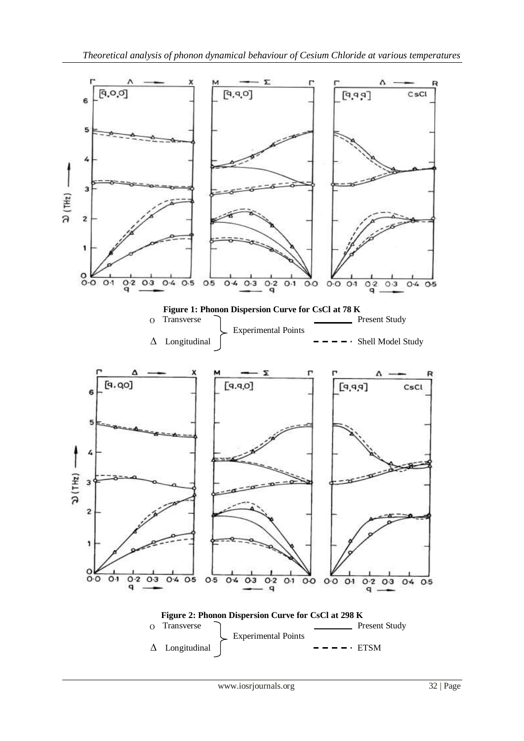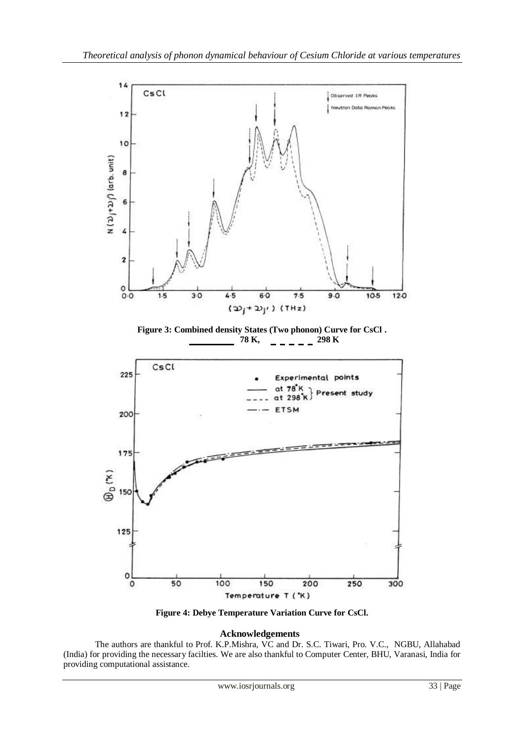

**Figure 4: Debye Temperature Variation Curve for CsCl.**

#### **Acknowledgements**

The authors are thankful to Prof. K.P.Mishra, VC and Dr. S.C. Tiwari, Pro. V.C., NGBU, Allahabad (India) for providing the necessary facilties. We are also thankful to Computer Center, BHU, Varanasi, India for providing computational assistance.